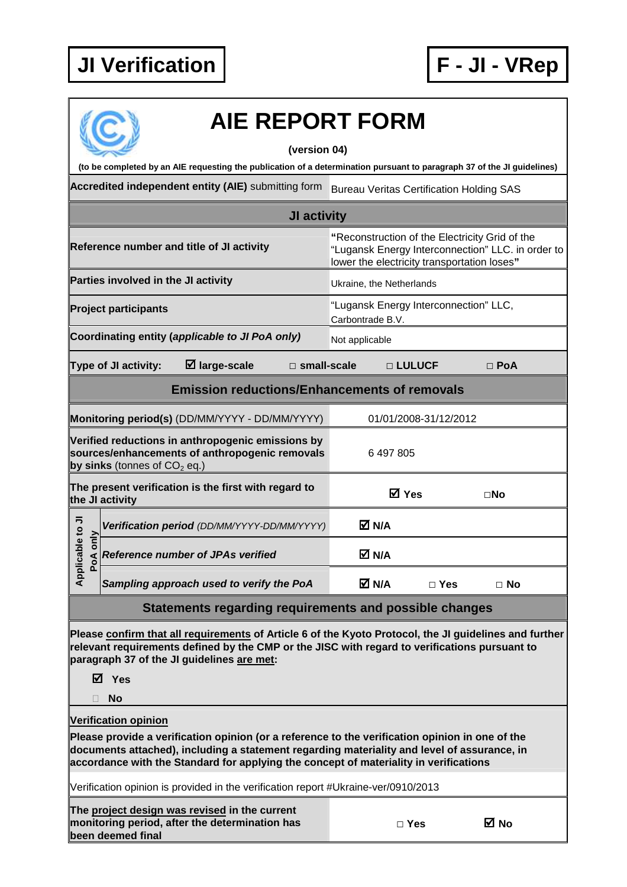

|                       |                                             | <b>AIE REPORT FORM</b>                                                                                                                                                                                                                                                                  |                       |                  |                          |                                       |                                                                                                                                                    |
|-----------------------|---------------------------------------------|-----------------------------------------------------------------------------------------------------------------------------------------------------------------------------------------------------------------------------------------------------------------------------------------|-----------------------|------------------|--------------------------|---------------------------------------|----------------------------------------------------------------------------------------------------------------------------------------------------|
|                       |                                             | (to be completed by an AIE requesting the publication of a determination pursuant to paragraph 37 of the JI guidelines)                                                                                                                                                                 | (version 04)          |                  |                          |                                       |                                                                                                                                                    |
|                       |                                             | Accredited independent entity (AIE) submitting form                                                                                                                                                                                                                                     |                       |                  |                          |                                       | <b>Bureau Veritas Certification Holding SAS</b>                                                                                                    |
|                       |                                             |                                                                                                                                                                                                                                                                                         | JI activity           |                  |                          |                                       |                                                                                                                                                    |
|                       |                                             | Reference number and title of JI activity                                                                                                                                                                                                                                               |                       |                  |                          |                                       | "Reconstruction of the Electricity Grid of the<br>"Lugansk Energy Interconnection" LLC. in order to<br>lower the electricity transportation loses" |
|                       | Parties involved in the JI activity         |                                                                                                                                                                                                                                                                                         |                       |                  | Ukraine, the Netherlands |                                       |                                                                                                                                                    |
|                       | <b>Project participants</b>                 |                                                                                                                                                                                                                                                                                         |                       | Carbontrade B.V. |                          | "Lugansk Energy Interconnection" LLC, |                                                                                                                                                    |
|                       |                                             | Coordinating entity (applicable to JI PoA only)                                                                                                                                                                                                                                         |                       | Not applicable   |                          |                                       |                                                                                                                                                    |
|                       | Type of JI activity:                        | $\boxtimes$ large-scale                                                                                                                                                                                                                                                                 | $\square$ small-scale |                  | □ LULUCF                 |                                       | $\Box$ PoA                                                                                                                                         |
|                       |                                             | <b>Emission reductions/Enhancements of removals</b>                                                                                                                                                                                                                                     |                       |                  |                          |                                       |                                                                                                                                                    |
|                       |                                             | Monitoring period(s) (DD/MM/YYYY - DD/MM/YYYY)                                                                                                                                                                                                                                          |                       |                  |                          | 01/01/2008-31/12/2012                 |                                                                                                                                                    |
|                       | by sinks (tonnes of CO <sub>2</sub> eq.)    | Verified reductions in anthropogenic emissions by<br>sources/enhancements of anthropogenic removals                                                                                                                                                                                     |                       |                  | 6 497 805                |                                       |                                                                                                                                                    |
|                       | the JI activity                             | The present verification is the first with regard to                                                                                                                                                                                                                                    |                       |                  | <b>☑</b> Yes             |                                       | $\square$ No                                                                                                                                       |
|                       | Verification period (DD/MM/YYYY-DD/MM/YYYY) |                                                                                                                                                                                                                                                                                         |                       |                  | M N/A                    |                                       |                                                                                                                                                    |
| licable to JI<br>only | <b>Reference number of JPAs verified</b>    |                                                                                                                                                                                                                                                                                         |                       |                  | M N/A                    |                                       |                                                                                                                                                    |
| $\overline{A}$ $P$    |                                             | Sampling approach used to verify the PoA                                                                                                                                                                                                                                                |                       |                  | M N⊿                     | $\Box$ Yes                            | $\Box$ No                                                                                                                                          |
|                       |                                             | Statements regarding requirements and possible changes                                                                                                                                                                                                                                  |                       |                  |                          |                                       |                                                                                                                                                    |
|                       | <b>Ø</b> Yes<br>No                          | Please confirm that all requirements of Article 6 of the Kyoto Protocol, the JI guidelines and further<br>relevant requirements defined by the CMP or the JISC with regard to verifications pursuant to<br>paragraph 37 of the JI guidelines are met:                                   |                       |                  |                          |                                       |                                                                                                                                                    |
|                       | <b>Verification opinion</b>                 |                                                                                                                                                                                                                                                                                         |                       |                  |                          |                                       |                                                                                                                                                    |
|                       |                                             | Please provide a verification opinion (or a reference to the verification opinion in one of the<br>documents attached), including a statement regarding materiality and level of assurance, in<br>accordance with the Standard for applying the concept of materiality in verifications |                       |                  |                          |                                       |                                                                                                                                                    |
|                       |                                             | Verification opinion is provided in the verification report #Ukraine-ver/0910/2013                                                                                                                                                                                                      |                       |                  |                          |                                       |                                                                                                                                                    |
|                       | been deemed final                           | The project design was revised in the current<br>monitoring period, after the determination has                                                                                                                                                                                         |                       |                  | $\Box$ Yes               |                                       | M No                                                                                                                                               |